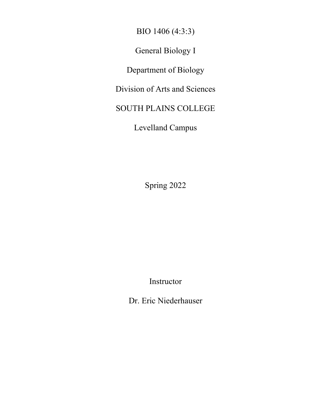BIO 1406 (4:3:3)

General Biology I

Department of Biology

Division of Arts and Sciences

SOUTH PLAINS COLLEGE

Levelland Campus

Spring 2022

Instructor

Dr. Eric Niederhauser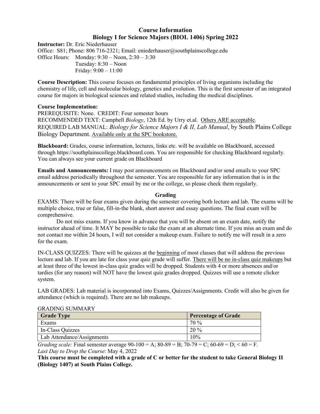# **Course Information Biology I for Science Majors (BIOL 1406) Spring 2022**

**Instructor:** Dr. Eric Niederhauser Office: S81; Phone: 806 716-2321; Email: eniederhauser@southplainscollege.edu Office Hours: Monday: 9:30 – Noon, 2:30 – 3:30 Tuesday: 8:30 – Noon Friday: 9:00 – 11:00

**Course Description:** This course focuses on fundamental principles of living organisms including the chemistry of life, cell and molecular biology, genetics and evolution. This is the first semester of an integrated course for majors in biological sciences and related studies, including the medical disciplines.

## **Course Implementation:**

PREREQUISITE: None. CREDIT: Four semester hours RECOMMENDED TEXT: Campbell *Biology*, 12th Ed. by Urry et.al. Others ARE acceptable. REQUIRED LAB MANUAL: *Biology for Science Majors I & II, Lab Manual*, by South Plains College Biology Department. Available only at the SPC bookstore.

**Blackboard:** Grades, course information, lectures, links etc. will be available on Blackboard, accessed through https://southplainscollege.blackboard.com. You are responsible for checking Blackboard regularly. You can always see your current grade on Blackboard

**Emails and Announcements:** I may post announcements on Blackboard and/or send emails to your SPC email address periodically throughout the semester. You are responsible for any information that is in the announcements or sent to your SPC email by me or the college, so please check them regularly.

## **Grading**

EXAMS: There will be four exams given during the semester covering both lecture and lab. The exams will be multiple choice, true or false, fill-in-the blank, short answer and essay questions. The final exam will be comprehensive.

Do not miss exams. If you know in advance that you will be absent on an exam date, notify the instructor ahead of time. It MAY be possible to take the exam at an alternate time. If you miss an exam and do not contact me within 24 hours, I will not consider a makeup exam. Failure to notify me will result in a zero for the exam.

IN-CLASS QUIZZES: There will be quizzes at the beginning of most classes that will address the previous lecture and lab. If you are late for class your quiz grade will suffer. There will be no in-class quiz makeups but at least three of the lowest in-class quiz grades will be dropped. Students with 4 or more absences and/or tardies (for any reason) will NOT have the lowest quiz grades dropped. Quizzes will use a remote clicker system.

LAB GRADES: Lab material is incorporated into Exams, Quizzes/Assignments. Credit will also be given for attendance (which is required). There are no lab makeups.

## GRADING SUMMARY

| <b>Grade Type</b>          | <b>Percentage of Grade</b> |
|----------------------------|----------------------------|
| Exams                      | 70 %                       |
| In-Class Quizzes           | $20\%$                     |
| Lab Attendance/Assignments | 10%                        |

*Grading scale:* Final semester average  $90-100 = A$ ;  $80-89 = B$ ;  $70-79 = C$ ;  $60-69 = D$ ;  $60 = F$ . *Last Day to Drop the Course*: May 4, 2022

**This course must be completed with a grade of C or better for the student to take General Biology II (Biology 1407) at South Plains College.**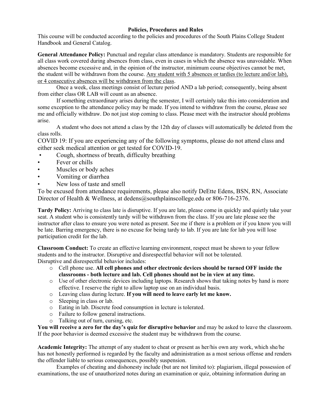# **Policies, Procedures and Rules**

This course will be conducted according to the policies and procedures of the South Plains College Student Handbook and General Catalog.

**General Attendance Policy:** Punctual and regular class attendance is mandatory. Students are responsible for all class work covered during absences from class, even in cases in which the absence was unavoidable. When absences become excessive and, in the opinion of the instructor, minimum course objectives cannot be met, the student will be withdrawn from the course. Any student with 5 absences or tardies (to lecture and/or lab), or 4 consecutive absences will be withdrawn from the class.

Once a week, class meetings consist of lecture period AND a lab period; consequently, being absent from either class OR LAB will count as an absence.

If something extraordinary arises during the semester, I will certainly take this into consideration and some exception to the attendance policy may be made. If you intend to withdraw from the course, please see me and officially withdraw. Do not just stop coming to class. Please meet with the instructor should problems arise.

A student who does not attend a class by the 12th day of classes will automatically be deleted from the class rolls.

COVID 19: If you are experiencing any of the following symptoms, please do not attend class and either seek medical attention or get tested for COVID-19.

- Cough, shortness of breath, difficulty breathing
- Fever or chills
- Muscles or body aches
- Vomiting or diarrhea
- New loss of taste and smell

To be excused from attendance requirements, please also notify DeEtte Edens, BSN, RN, Associate Director of Health & Wellness, at dedens@southplainscollege.edu or 806-716-2376.

**Tardy Policy:** Arriving to class late is disruptive. If you are late, please come in quickly and quietly take your seat. A student who is consistently tardy will be withdrawn from the class. If you are late please see the instructor after class to ensure you were noted as present. See me if there is a problem or if you know you will be late. Barring emergency, there is no excuse for being tardy to lab. If you are late for lab you will lose participation credit for the lab.

**Classroom Conduct:** To create an effective learning environment, respect must be shown to your fellow students and to the instructor. Disruptive and disrespectful behavior will not be tolerated. Disruptive and disrespectful behavior includes:

- o Cell phone use. **All cell phones and other electronic devices should be turned OFF inside the classrooms - both lecture and lab. Cell phones should not be in view at any time.**
- o Use of other electronic devices including laptops. Research shows that taking notes by hand is more effective. I reserve the right to allow laptop use on an individual basis.
- o Leaving class during lecture. **If you will need to leave early let me know.**
- o Sleeping in class or lab.
- o Eating in lab. Discrete food consumption in lecture is tolerated.
- o Failure to follow general instructions.
- o Talking out of turn, cursing, etc.

**You will receive a zero for the day's quiz for disruptive behavior** and may be asked to leave the classroom. If the poor behavior is deemed excessive the student may be withdrawn from the course.

**Academic Integrity:** The attempt of any student to cheat or present as her/his own any work, which she/he has not honestly performed is regarded by the faculty and administration as a most serious offense and renders the offender liable to serious consequences, possibly suspension.

Examples of cheating and dishonesty include (but are not limited to): plagiarism, illegal possession of examinations, the use of unauthorized notes during an examination or quiz, obtaining information during an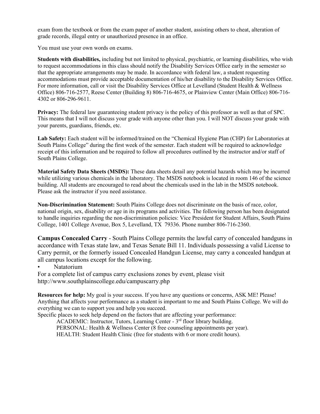exam from the textbook or from the exam paper of another student, assisting others to cheat, alteration of grade records, illegal entry or unauthorized presence in an office.

You must use your own words on exams.

**Students with disabilities,** including but not limited to physical, psychiatric, or learning disabilities, who wish to request accommodations in this class should notify the Disability Services Office early in the semester so that the appropriate arrangements may be made. In accordance with federal law, a student requesting accommodations must provide acceptable documentation of his/her disability to the Disability Services Office. For more information, call or visit the Disability Services Office at Levelland (Student Health & Wellness Office) 806-716-2577, Reese Center (Building 8) 806-716-4675, or Plainview Center (Main Office) 806-716- 4302 or 806-296-9611.

Privacy: The federal law guaranteeing student privacy is the policy of this professor as well as that of SPC. This means that I will not discuss your grade with anyone other than you. I will NOT discuss your grade with your parents, guardians, friends, etc.

**Lab Safety:** Each student will be informed/trained on the "Chemical Hygiene Plan (CHP) for Laboratories at South Plains College" during the first week of the semester. Each student will be required to acknowledge receipt of this information and be required to follow all procedures outlined by the instructor and/or staff of South Plains College.

**Material Safety Data Sheets (MSDS):** These data sheets detail any potential hazards which may be incurred while utilizing various chemicals in the laboratory. The MSDS notebook is located in room 146 of the science building. All students are encouraged to read about the chemicals used in the lab in the MSDS notebook. Please ask the instructor if you need assistance.

**Non-Discrimination Statement:** South Plains College does not discriminate on the basis of race, color, national origin, sex, disability or age in its programs and activities. The following person has been designated to handle inquiries regarding the non-discrimination policies: Vice President for Student Affairs, South Plains College, 1401 College Avenue, Box 5, Levelland, TX 79336. Phone number 806-716-2360.

**Campus Concealed Carry** - South Plains College permits the lawful carry of concealed handguns in accordance with Texas state law, and Texas Senate Bill 11. Individuals possessing a valid License to Carry permit, or the formerly issued Concealed Handgun License, may carry a concealed handgun at all campus locations except for the following.

• Natatorium

For a complete list of campus carry exclusions zones by event, please visit http://www.southplainscollege.edu/campuscarry.php

**Resources for help:** My goal is your success. If you have any questions or concerns, ASK ME! Please! Anything that affects your performance as a student is important to me and South Plains College. We will do everything we can to support you and help you succeed.

Specific places to seek help depend on the factors that are affecting your performance:

ACADEMIC: Instructor, Tutors, Learning Center - 3<sup>rd</sup> floor library building. PERSONAL: Health & Wellness Center (8 free counseling appointments per year). HEALTH: Student Health Clinic (free for students with 6 or more credit hours).